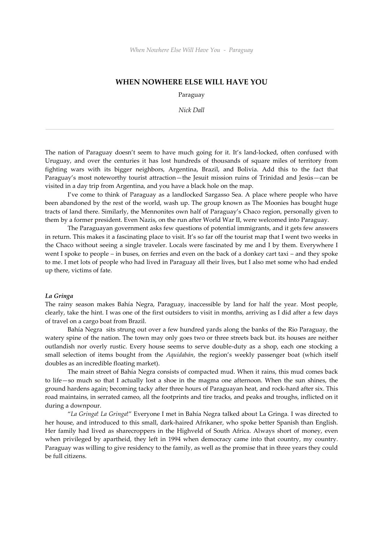## **WHEN NOWHERE ELSE WILL HAVE YOU**

Paraguay

*Nick Dall*

The nation of Paraguay doesn't seem to have much going for it. It's land-locked, often confused with Uruguay, and over the centuries it has lost hundreds of thousands of square miles of territory from fighting wars with its bigger neighbors, Argentina, Brazil, and Bolivia. Add this to the fact that Paraguay's most noteworthy tourist attraction—the Jesuit mission ruins of Trinidad and Jesús—can be visited in a day trip from Argentina, and you have a black hole on the map.

I've come to think of Paraguay as a landlocked Sargasso Sea. A place where people who have been abandoned by the rest of the world, wash up. The group known as The Moonies has bought huge tracts of land there. Similarly, the Mennonites own half of Paraguay's Chaco region, personally given to them by a former president. Even Nazis, on the run after World War II, were welcomed into Paraguay.

The Paraguayan government asks few questions of potential immigrants, and it gets few answers in return. This makes it a fascinating place to visit. It's so far off the tourist map that I went two weeks in the Chaco without seeing a single traveler. Locals were fascinated by me and I by them. Everywhere I went I spoke to people – in buses, on ferries and even on the back of a donkey cart taxi – and they spoke to me. I met lots of people who had lived in Paraguay all their lives, but I also met some who had ended up there, victims of fate.

## *La Gringa*

The rainy season makes Bahía Negra, Paraguay, inaccessible by land for half the year. Most people, clearly, take the hint. I was one of the first outsiders to visit in months, arriving as I did after a few days of travel on a cargo boat from Brazil.

Bahía Negra sits strung out over a few hundred yards along the banks of the Rio Paraguay, the watery spine of the nation. The town may only goes two or three streets back but. its houses are neither outlandish nor overly rustic. Every house seems to serve double-duty as a shop, each one stocking a small selection of items bought from the *Aquidabán*, the region's weekly passenger boat (which itself doubles as an incredible floating market).

The main street of Bahía Negra consists of compacted mud. When it rains, this mud comes back to life—so much so that I actually lost a shoe in the magma one afternoon. When the sun shines, the ground hardens again; becoming tacky after three hours of Paraguayan heat, and rock-hard after six. This road maintains, in serrated cameo, all the footprints and tire tracks, and peaks and troughs, inflicted on it during a downpour.

"*La Gringa*! *La Gringa*!" Everyone I met in Bahía Negra talked about La Gringa*.* I was directed to her house, and introduced to this small, dark-haired Afrikaner, who spoke better Spanish than English. Her family had lived as sharecroppers in the Highveld of South Africa. Always short of money, even when privileged by apartheid, they left in 1994 when democracy came into that country, my country. Paraguay was willing to give residency to the family, as well as the promise that in three years they could be full citizens.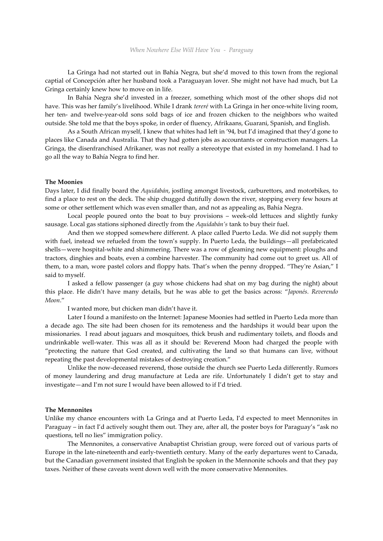La Gringa had not started out in Bahía Negra, but she'd moved to this town from the regional captial of Concepción after her husband took a Paraguayan lover. She might not have had much, but La Gringa certainly knew how to move on in life.

In Bahía Negra she'd invested in a freezer, something which most of the other shops did not have. This was her family's livelihood. While I drank *tereré* with La Gringa in her once-white living room, her ten- and twelve-year-old sons sold bags of ice and frozen chicken to the neighbors who waited outside. She told me that the boys spoke, in order of fluency, Afrikaans, Guarani, Spanish, and English.

As a South African myself, I knew that whites had left in '94, but I'd imagined that they'd gone to places like Canada and Australia. That they had gotten jobs as accountants or construction managers. La Gringa, the disenfranchised Afrikaner, was not really a stereotype that existed in my homeland. I had to go all the way to Bahía Negra to find her.

#### **The Moonies**

Days later, I did finally board the *Aquidabán*, jostling amongst livestock, carburettors, and motorbikes, to find a place to rest on the deck. The ship chugged dutifully down the river, stopping every few hours at some or other settlement which was even smaller than, and not as appealing as, Bahía Negra.

Local people poured onto the boat to buy provisions – week-old lettuces and slightly funky sausage. Local gas stations siphoned directly from the *Aquidabán's* tank to buy their fuel.

And then we stopped somewhere different. A place called Puerto Leda. We did not supply them with fuel, instead we refueled from the town's supply. In Puerto Leda, the buildings—all prefabricated shells—were hospital-white and shimmering. There was a row of gleaming new equipment: ploughs and tractors, dinghies and boats, even a combine harvester. The community had come out to greet us. All of them, to a man, wore pastel colors and floppy hats. That's when the penny dropped. "They're Asian," I said to myself.

I asked a fellow passenger (a guy whose chickens had shat on my bag during the night) about this place. He didn't have many details, but he was able to get the basics across: "*Japonés. Reverendo Moon*."

I wanted more, but chicken man didn't have it.

Later I found a manifesto on the Internet: Japanese Moonies had settled in Puerto Leda more than a decade ago. The site had been chosen for its remoteness and the hardships it would bear upon the missionaries. I read about jaguars and mosquitoes, thick brush and rudimentary toilets, and floods and undrinkable well-water. This was all as it should be: Reverend Moon had charged the people with "protecting the nature that God created, and cultivating the land so that humans can live, without repeating the past developmental mistakes of destroying creation."

Unlike the now-deceased reverend, those outside the church see Puerto Leda differently. Rumors of money laundering and drug manufacture at Leda are rife. Unfortunately I didn't get to stay and investigate—and I'm not sure I would have been allowed to if I'd tried.

### **The Mennonites**

Unlike my chance encounters with La Gringa and at Puerto Leda, I'd expected to meet Mennonites in Paraguay – in fact I'd actively sought them out. They are, after all, the poster boys for Paraguay's "ask no questions, tell no lies" immigration policy.

The Mennonites, a conservative Anabaptist Christian group, were forced out of various parts of Europe in the late-nineteenth and early-twentieth century. Many of the early departures went to Canada, but the Canadian government insisted that English be spoken in the Mennonite schools and that they pay taxes. Neither of these caveats went down well with the more conservative Mennonites.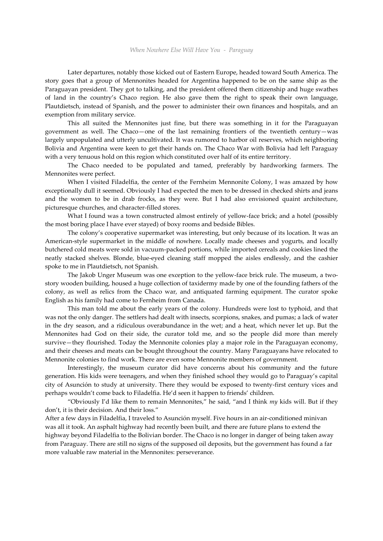Later departures, notably those kicked out of Eastern Europe, headed toward South America. The story goes that a group of Mennonites headed for Argentina happened to be on the same ship as the Paraguayan president. They got to talking, and the president offered them citizenship and huge swathes of land in the country's Chaco region. He also gave them the right to speak their own language, Plautdietsch, instead of Spanish, and the power to administer their own finances and hospitals, and an exemption from military service.

This all suited the Mennonites just fine, but there was something in it for the Paraguayan government as well. The Chaco—one of the last remaining frontiers of the twentieth century—was largely unpopulated and utterly uncultivated. It was rumored to harbor oil reserves, which neighboring Bolivia and Argentina were keen to get their hands on. The Chaco War with Bolivia had left Paraguay with a very tenuous hold on this region which constituted over half of its entire territory.

The Chaco needed to be populated and tamed, preferably by hardworking farmers. The Mennonites were perfect.

When I visited Filadelfia, the center of the Fernheim Mennonite Colony, I was amazed by how exceptionally dull it seemed. Obviously I had expected the men to be dressed in checked shirts and jeans and the women to be in drab frocks, as they were. But I had also envisioned quaint architecture, picturesque churches, and character-filled stores.

What I found was a town constructed almost entirely of yellow-face brick; and a hotel (possibly the most boring place I have ever stayed) of boxy rooms and bedside Bibles.

The colony's cooperative supermarket was interesting, but only because of its location. It was an American-style supermarket in the middle of nowhere. Locally made cheeses and yogurts, and locally butchered cold meats were sold in vacuum-packed portions, while imported cereals and cookies lined the neatly stacked shelves. Blonde, blue-eyed cleaning staff mopped the aisles endlessly, and the cashier spoke to me in Plautdietsch, not Spanish.

The Jakob Unger Museum was one exception to the yellow-face brick rule. The museum, a two story wooden building, housed a huge collection of taxidermy made by one of the founding fathers of the colony, as well as relics from the Chaco war, and antiquated farming equipment. The curator spoke English as his family had come to Fernheim from Canada.

This man told me about the early years of the colony. Hundreds were lost to typhoid, and that was not the only danger. The settlers had dealt with insects, scorpions, snakes, and pumas; a lack of water in the dry season, and a ridiculous overabundance in the wet; and a heat, which never let up. But the Mennonites had God on their side, the curator told me, and so the people did more than merely survive—they flourished. Today the Mennonite colonies play a major role in the Paraguayan economy, and their cheeses and meats can be bought throughout the country. Many Paraguayans have relocated to Mennonite colonies to find work. There are even some Mennonite members of government.

Interestingly, the museum curator did have concerns about his community and the future generation. His kids were teenagers, and when they finished school they would go to Paraguay's capital city of Asunción to study at university. There they would be exposed to twenty-first century vices and perhaps wouldn't come back to Filadelfia. He'd seen it happen to friends' children.

"Obviously I'd like them to remain Mennonites," he said, "and I think *my* kids will. But if they don't, it is their decision. And their loss."

After a few days in Filadelfia, I traveled to Asunción myself. Five hours in an air-conditioned minivan was all it took. An asphalt highway had recently been built, and there are future plans to extend the highway beyond Filadelfia to the Bolivian border. The Chaco is no longer in danger of being taken away from Paraguay. There are still no signs of the supposed oil deposits, but the government has found a far more valuable raw material in the Mennonites: perseverance.